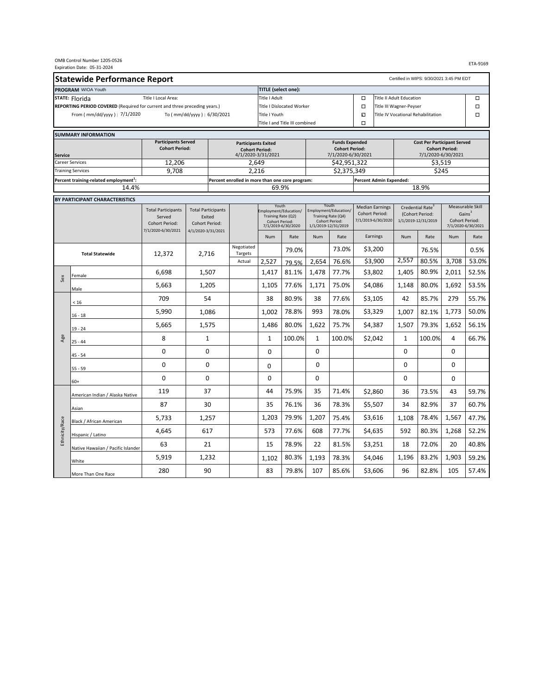|                                          | OMB Control Number 1205-0526<br>Expiration Date: 05-31-2024                |                                         |                               |                                                 |                                                                                     |                                    |                                                                                      |                       |                                      |                               |                       |                                          |                                      | ETA-9169         |  |
|------------------------------------------|----------------------------------------------------------------------------|-----------------------------------------|-------------------------------|-------------------------------------------------|-------------------------------------------------------------------------------------|------------------------------------|--------------------------------------------------------------------------------------|-----------------------|--------------------------------------|-------------------------------|-----------------------|------------------------------------------|--------------------------------------|------------------|--|
|                                          | <b>Statewide Performance Report</b>                                        |                                         |                               |                                                 |                                                                                     |                                    |                                                                                      |                       |                                      |                               |                       | Certified in WIPS: 9/30/2021 3:45 PM EDT |                                      |                  |  |
|                                          | PROGRAM WIOA Youth                                                         |                                         |                               |                                                 | <b>TITLE</b> (select one):                                                          |                                    |                                                                                      |                       |                                      |                               |                       |                                          |                                      |                  |  |
|                                          | STATE: Florida                                                             | Title I Local Area:                     |                               |                                                 | Title I Adult                                                                       |                                    |                                                                                      | $\Box$                | <b>Title II Adult Education</b>      |                               |                       |                                          | $\Box$                               |                  |  |
|                                          | REPORTING PERIOD COVERED (Required for current and three preceding years.) |                                         |                               |                                                 | Title I Dislocated Worker                                                           |                                    |                                                                                      |                       | $\Box$                               | Title III Wagner-Peyser       |                       |                                          |                                      | $\Box$           |  |
|                                          | From ( mm/dd/yyyy ) : 7/1/2020                                             |                                         | To ( mm/dd/yyyy ) : 6/30/2021 |                                                 | <b>Title I Youth</b>                                                                |                                    |                                                                                      |                       | <b>KI</b>                            |                               |                       | Title IV Vocational Rehabilitation       |                                      | $\Box$           |  |
|                                          |                                                                            |                                         |                               |                                                 |                                                                                     | Title I and Title III combined     |                                                                                      |                       | $\Box$                               |                               |                       |                                          |                                      |                  |  |
|                                          | <b>SUMMARY INFORMATION</b>                                                 |                                         |                               |                                                 |                                                                                     |                                    |                                                                                      |                       |                                      |                               |                       |                                          |                                      |                  |  |
|                                          |                                                                            | <b>Participants Served</b>              |                               | <b>Participants Exited</b>                      |                                                                                     |                                    |                                                                                      | <b>Funds Expended</b> |                                      |                               |                       | <b>Cost Per Participant Served</b>       |                                      |                  |  |
|                                          |                                                                            | <b>Cohort Period:</b>                   |                               |                                                 | <b>Cohort Period:</b><br>4/1/2020-3/31/2021                                         |                                    | <b>Cohort Period:</b>                                                                |                       |                                      |                               | <b>Cohort Period:</b> |                                          |                                      |                  |  |
| <b>Service</b><br><b>Career Services</b> |                                                                            | 12.206                                  |                               | 2,649                                           |                                                                                     | 7/1/2020-6/30/2021<br>\$42,951,322 |                                                                                      |                       |                                      | 7/1/2020-6/30/2021<br>\$3,519 |                       |                                          |                                      |                  |  |
|                                          | <b>Training Services</b>                                                   | 9,708                                   |                               | 2,216                                           |                                                                                     |                                    |                                                                                      | \$2,375,349           |                                      |                               |                       | \$245                                    |                                      |                  |  |
|                                          | Percent training-related employment <sup>1</sup> :                         |                                         |                               | Percent enrolled in more than one core program: |                                                                                     |                                    |                                                                                      |                       | Percent Admin Expended:              |                               |                       |                                          |                                      |                  |  |
|                                          | 14.4%                                                                      |                                         |                               |                                                 | 69.9%                                                                               |                                    |                                                                                      |                       |                                      |                               |                       | 18.9%                                    |                                      |                  |  |
|                                          | BY PARTICIPANT CHARACTERISTICS                                             |                                         |                               |                                                 |                                                                                     |                                    |                                                                                      |                       |                                      |                               |                       |                                          |                                      |                  |  |
|                                          |                                                                            | <b>Total Participants</b>               | <b>Total Participants</b>     |                                                 | Youth                                                                               |                                    |                                                                                      | Youth                 | <b>Median Earnings</b>               |                               |                       | Credential Rate <sup>3</sup>             |                                      | Measurable Skill |  |
|                                          |                                                                            | Served                                  | Exited                        |                                                 | Employment/Education/<br>Training Rate (Q2)<br>Cohort Period:<br>7/1/2019-6/30/2020 |                                    | Employment/Education/<br>Training Rate (Q4)<br>Cohort Period:<br>1/1/2019-12/31/2019 |                       | Cohort Period:<br>7/1/2019-6/30/2020 |                               |                       | (Cohort Period:                          |                                      | Gains $3$        |  |
|                                          |                                                                            | <b>Cohort Period:</b><br>Cohort Period: |                               |                                                 |                                                                                     |                                    |                                                                                      |                       |                                      |                               | 1/1/2019-12/31/2019   |                                          | Cohort Period:<br>7/1/2020-6/30/2021 |                  |  |
|                                          |                                                                            | 7/1/2020-6/30/2021                      | 4/1/2020-3/31/2021            |                                                 | Num                                                                                 | Rate                               | Num                                                                                  | Rate                  | Earnings                             |                               | Num                   | Rate                                     | Num                                  | Rate             |  |
|                                          |                                                                            |                                         |                               | Negotiated                                      |                                                                                     |                                    |                                                                                      |                       |                                      |                               |                       |                                          |                                      |                  |  |
|                                          | <b>Total Statewide</b>                                                     | 12,372                                  | 2,716                         | Targets                                         |                                                                                     | 79.0%                              |                                                                                      | 73.0%                 | \$3,200                              |                               |                       | 76.5%                                    |                                      | 0.5%             |  |
|                                          |                                                                            |                                         |                               | Actual                                          | 2,527                                                                               | 79.5%                              | 2,654                                                                                | 76.6%                 | \$3,900                              |                               | 2,557                 | 80.5%                                    | 3,708                                | 53.0%            |  |
| Sex                                      | Female                                                                     | 6,698                                   | 1,507                         |                                                 | 1,417                                                                               | 81.1%                              | 1,478                                                                                | 77.7%                 | \$3,802                              |                               | 1,405                 | 80.9%                                    | 2,011                                | 52.5%            |  |
|                                          | Male                                                                       | 5,663                                   | 1,205                         |                                                 | 1,105                                                                               | 77.6%                              | 1,171                                                                                | 75.0%                 | \$4,086                              |                               | 1,148                 | 80.0%                                    | 1,692                                | 53.5%            |  |
|                                          | < 16                                                                       | 709                                     | 54                            |                                                 | 38                                                                                  | 80.9%                              | 38                                                                                   | 77.6%                 | \$3,105                              |                               | 42                    | 85.7%                                    | 279                                  | 55.7%            |  |
|                                          | $16 - 18$                                                                  | 5,990                                   | 1,086                         |                                                 | 1,002                                                                               | 78.8%                              | 993                                                                                  | 78.0%                 | \$3,329                              |                               | 1,007                 | 82.1%                                    | 1,773                                | 50.0%            |  |
|                                          | $19 - 24$                                                                  | 5,665                                   | 1,575                         |                                                 | 1,486                                                                               | 80.0%                              | 1.622                                                                                | 75.7%                 | \$4,387                              |                               | 1,507                 | 79.3%                                    | 1,652                                | 56.1%            |  |
| Age                                      | $25 - 44$                                                                  | 8                                       | $\mathbf{1}$                  |                                                 | $\mathbf{1}$                                                                        | 100.0%                             | $\mathbf{1}$                                                                         | 100.0%                | \$2,042                              |                               | 1                     | 100.0%                                   | 4                                    | 66.7%            |  |
|                                          | $45 - 54$                                                                  | $\mathbf 0$                             | 0                             |                                                 | $\mathbf 0$                                                                         |                                    | $\mathbf 0$                                                                          |                       |                                      |                               | 0                     |                                          | $\mathbf 0$                          |                  |  |
|                                          | $55 - 59$                                                                  | 0                                       | 0                             |                                                 | $\mathbf 0$                                                                         |                                    | 0                                                                                    |                       |                                      |                               | 0                     |                                          | 0                                    |                  |  |
|                                          | $60+$                                                                      | $\mathbf 0$                             | $\mathbf 0$                   |                                                 | $\mathbf 0$                                                                         |                                    | $\Omega$                                                                             |                       |                                      |                               | 0                     |                                          | $\Omega$                             |                  |  |
|                                          | American Indian / Alaska Native                                            | 119                                     | 37                            |                                                 | 44                                                                                  | 75.9%                              | 35                                                                                   | 71.4%                 | \$2,860                              |                               | 36                    | 73.5%                                    | 43                                   | 59.7%            |  |
|                                          | Asian                                                                      | 87                                      | 30                            |                                                 | 35                                                                                  | 76.1%                              | 36                                                                                   | 78.3%                 | \$5,507                              |                               | 34                    | 82.9%                                    | 37                                   | 60.7%            |  |
| Ethnicity/Race                           | Black / African American                                                   | 5,733                                   | 1,257                         |                                                 | 1,203                                                                               | 79.9%                              | 1,207                                                                                | 75.4%                 | \$3,616                              |                               | 1,108                 | 78.4%                                    | 1,567                                | 47.7%            |  |
|                                          | Hispanic / Latino                                                          | 4,645                                   | 617                           |                                                 | 573                                                                                 | 77.6%                              | 608                                                                                  | 77.7%                 | \$4,635                              |                               | 592                   | 80.3%                                    | 1,268                                | 52.2%            |  |
|                                          | Native Hawaiian / Pacific Islander                                         | 63                                      | 21                            |                                                 | 15                                                                                  | 78.9%                              | 22                                                                                   | 81.5%                 | \$3,251                              |                               | 18                    | 72.0%                                    | 20                                   | 40.8%            |  |
|                                          | White                                                                      | 5,919                                   | 1,232                         |                                                 | 1,102                                                                               | 80.3%                              | 1,193                                                                                | 78.3%                 | \$4,046                              |                               | 1,196                 | 83.2%                                    | 1,903                                | 59.2%            |  |
|                                          | More Than One Race                                                         | 280                                     | 90                            |                                                 | 83                                                                                  | 79.8%                              | 107                                                                                  | 85.6%                 | \$3,606                              |                               | 96                    | 82.8%                                    | 105                                  | 57.4%            |  |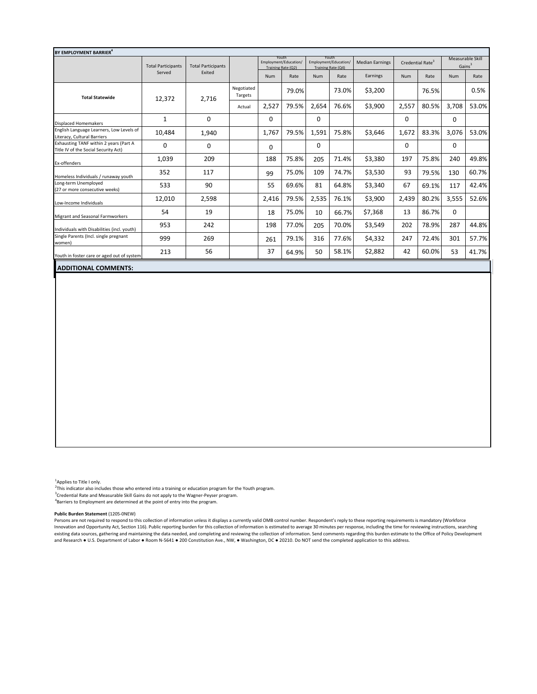| BY EMPLOYMENT BARRIER <sup>4</sup>                                             |                                                        |          |                       |                                                      |       |                                                      |       |                        |                              |       |                                        |       |
|--------------------------------------------------------------------------------|--------------------------------------------------------|----------|-----------------------|------------------------------------------------------|-------|------------------------------------------------------|-------|------------------------|------------------------------|-------|----------------------------------------|-------|
|                                                                                | <b>Total Participants</b><br><b>Total Participants</b> |          |                       | Youth<br>Employment/Education/<br>Training Rate (Q2) |       | Youth<br>Employment/Education/<br>Training Rate (Q4) |       | <b>Median Earnings</b> | Credential Rate <sup>3</sup> |       | Measurable Skill<br>Gains <sup>3</sup> |       |
|                                                                                | Served                                                 | Exited   |                       | Num                                                  | Rate  | <b>Num</b>                                           | Rate  | Earnings               | <b>Num</b>                   | Rate  | <b>Num</b>                             | Rate  |
| <b>Total Statewide</b>                                                         | 12,372                                                 | 2,716    | Negotiated<br>Targets |                                                      | 79.0% |                                                      | 73.0% | \$3,200                |                              | 76.5% |                                        | 0.5%  |
|                                                                                |                                                        |          | Actual                | 2,527                                                | 79.5% | 2,654                                                | 76.6% | \$3,900                | 2,557                        | 80.5% | 3,708                                  | 53.0% |
| <b>Displaced Homemakers</b>                                                    | $\mathbf{1}$                                           | $\Omega$ |                       | $\Omega$                                             |       | $\Omega$                                             |       |                        | $\Omega$                     |       | $\Omega$                               |       |
| English Language Learners, Low Levels of<br>Literacy, Cultural Barriers        | 10,484                                                 | 1,940    |                       | 1,767                                                | 79.5% | 1,591                                                | 75.8% | \$3,646                | 1,672                        | 83.3% | 3,076                                  | 53.0% |
| Exhausting TANF within 2 years (Part A<br>Title IV of the Social Security Act) | $\Omega$                                               | $\Omega$ |                       | $\Omega$                                             |       | $\Omega$                                             |       |                        | $\Omega$                     |       | $\Omega$                               |       |
| Ex-offenders                                                                   | 1,039                                                  | 209      |                       | 188                                                  | 75.8% | 205                                                  | 71.4% | \$3,380                | 197                          | 75.8% | 240                                    | 49.8% |
| Homeless Individuals / runaway youth                                           | 352                                                    | 117      |                       | 99                                                   | 75.0% | 109                                                  | 74.7% | \$3,530                | 93                           | 79.5% | 130                                    | 60.7% |
| Long-term Unemployed<br>(27 or more consecutive weeks)                         | 533                                                    | 90       |                       | 55                                                   | 69.6% | 81                                                   | 64.8% | \$3,340                | 67                           | 69.1% | 117                                    | 42.4% |
| Low-Income Individuals                                                         | 12,010                                                 | 2,598    |                       | 2,416                                                | 79.5% | 2,535                                                | 76.1% | \$3,900                | 2,439                        | 80.2% | 3,555                                  | 52.6% |
| Migrant and Seasonal Farmworkers                                               | 54                                                     | 19       |                       | 18                                                   | 75.0% | 10                                                   | 66.7% | \$7,368                | 13                           | 86.7% | $\Omega$                               |       |
| Individuals with Disabilities (incl. youth)                                    | 953                                                    | 242      |                       | 198                                                  | 77.0% | 205                                                  | 70.0% | \$3,549                | 202                          | 78.9% | 287                                    | 44.8% |
| Single Parents (Incl. single pregnant<br>women)                                | 999                                                    | 269      |                       | 261                                                  | 79.1% | 316                                                  | 77.6% | \$4,332                | 247                          | 72.4% | 301                                    | 57.7% |
| Youth in foster care or aged out of system                                     | 213                                                    | 56       |                       | 37                                                   | 64.9% | 50                                                   | 58.1% | \$2,882                | 42                           | 60.0% | 53                                     | 41.7% |

## **ADDITIONAL COMMENTS:**

<sup>1</sup>Applies to Title I only.

'Applies to Title I only.<br><sup>2</sup>This indicator also includes those who entered into a training or education program for the Youth program.<br><sup>3</sup>Credential Bate and Measurable Skill Gains de not apply to the Wagnes Douser progr Credential Rate and Measurable Skill Gains do not apply to the Wagner-Peyser program. <sup>4</sup>Barriers to Employment are determined at the point of entry into the program.

## **Public Burden Statement** (1205-0NEW)

 and Research ● U.S. Department of Labor ● Room N-5641 ● 200 Constitution Ave., NW, ● Washington, DC ● 20210. Do NOT send the completed application to this address. Persons are not required to respond to this collection of information unless it displays a currently valid OMB control number. Respondent's reply to these reporting requirements is mandatory (Workforce Innovation and Opportunity Act, Section 116). Public reporting burden for this collection of information is estimated to average 30 minutes per response, including the time for reviewing instructions, searching existing data sources, gathering and maintaining the data needed, and completing and reviewing the collection of information. Send comments regarding this burden estimate to the Office of Policy Development